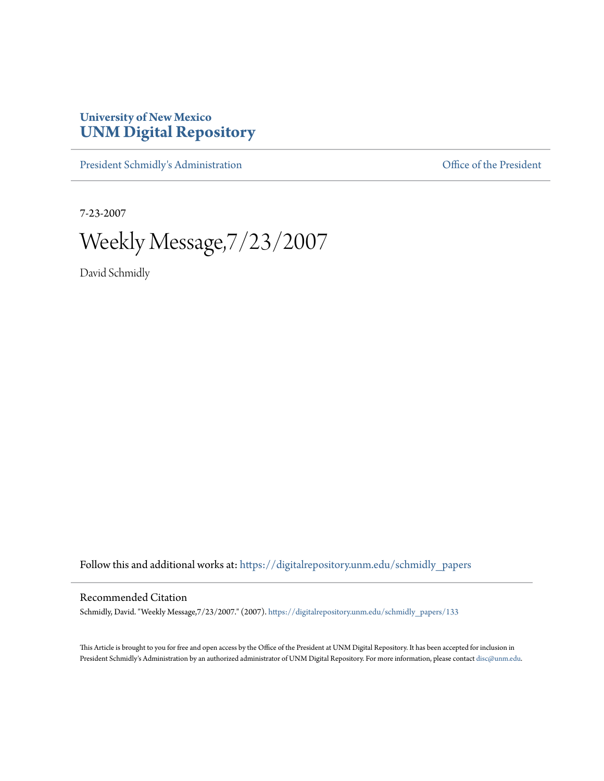## **University of New Mexico [UNM Digital Repository](https://digitalrepository.unm.edu?utm_source=digitalrepository.unm.edu%2Fschmidly_papers%2F133&utm_medium=PDF&utm_campaign=PDFCoverPages)**

[President Schmidly's Administration](https://digitalrepository.unm.edu/schmidly_papers?utm_source=digitalrepository.unm.edu%2Fschmidly_papers%2F133&utm_medium=PDF&utm_campaign=PDFCoverPages) [Office of the President](https://digitalrepository.unm.edu/ofc_president?utm_source=digitalrepository.unm.edu%2Fschmidly_papers%2F133&utm_medium=PDF&utm_campaign=PDFCoverPages)

7-23-2007

Weekly Message,7/23/2007

David Schmidly

Follow this and additional works at: [https://digitalrepository.unm.edu/schmidly\\_papers](https://digitalrepository.unm.edu/schmidly_papers?utm_source=digitalrepository.unm.edu%2Fschmidly_papers%2F133&utm_medium=PDF&utm_campaign=PDFCoverPages)

## Recommended Citation

Schmidly, David. "Weekly Message,7/23/2007." (2007). [https://digitalrepository.unm.edu/schmidly\\_papers/133](https://digitalrepository.unm.edu/schmidly_papers/133?utm_source=digitalrepository.unm.edu%2Fschmidly_papers%2F133&utm_medium=PDF&utm_campaign=PDFCoverPages)

This Article is brought to you for free and open access by the Office of the President at UNM Digital Repository. It has been accepted for inclusion in President Schmidly's Administration by an authorized administrator of UNM Digital Repository. For more information, please contact [disc@unm.edu](mailto:disc@unm.edu).